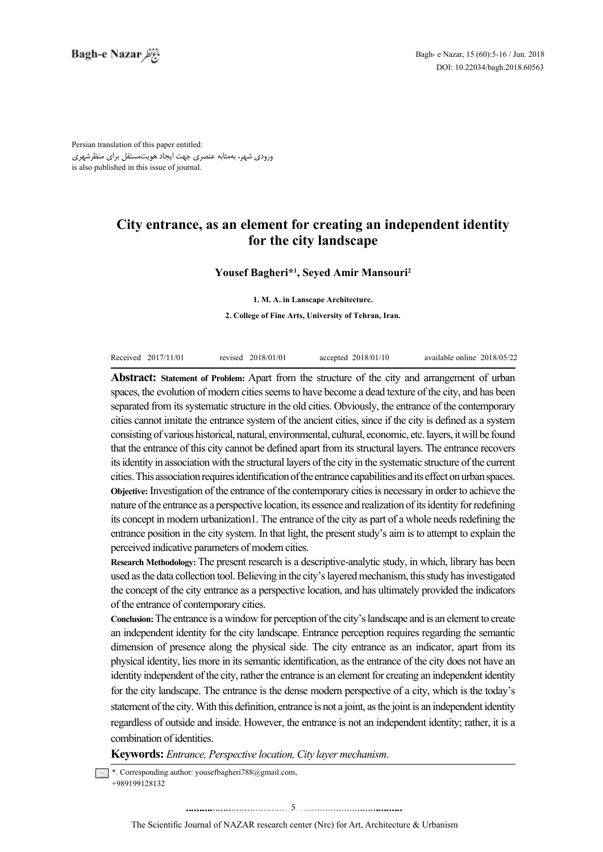Persian translation of this paper entitled: ورودی شهر، بهمثابه عنصری جهت ایجاد هویتمستقل برای منظرشهری is also published in this issue of journal.

# **City entrance, as an element for creating an independent identity** for the city landscape

## **Yousef Bagheri\*<sup>1</sup>, Seyed Amir Mansouri<sup>2</sup>**

**1. M. A. in Lanscape Architecture.** 

2. College of Fine Arts, University of Tehran, Iran.

| Received 2017/11/01 | revised 2018/01/01 | accepted $2018/01/10$ | available online 2018/05/22 |  |
|---------------------|--------------------|-----------------------|-----------------------------|--|

Abstract: Statement of Problem: Apart from the structure of the city and arrangement of urban spaces, the evolution of modern cities seems to have become a dead texture of the city, and has been separated from its systematic structure in the old cities. Obviously, the entrance of the contemporary cities cannot imitate the entrance system of the ancient cities, since if the city is defined as a system consisting of various historical, natural, environmental, cultural, economic, etc. layers, it will be found that the entrance of this city cannot be defined apart from its structural layers. The entrance recovers its identity in association with the structural layers of the city in the systematic structure of the current cities. This association requires identification of the entrance capabilities and its effect on urban spaces. Objective: Investigation of the entrance of the contemporary cities is necessary in order to achieve the nature of the entrance as a perspective location, its essence and realization of its identity for redefining its concept in modern urbanization 1. The entrance of the city as part of a whole needs redefining the entrance position in the city system. In that light, the present study's aim is to attempt to explain the perceived indicative parameters of modern cities.

**Research Methodology:** The present research is a descriptive-analytic study, in which, library has been used as the data collection tool. Believing in the city's layered mechanism, this study has investigated the concept of the city entrance as a perspective location, and has ultimately provided the indicators of the entrance of contemporary cities.

**Conclusion:** The entrance is a window for perception of the city's landscape and is an element to create an independent identity for the city landscape. Entrance perception requires regarding the semantic dimension of presence along the physical side. The city entrance as an indicator, apart from its physical identity, lies more in its semantic identification, as the entrance of the city does not have an identity independent of the city, rather the entrance is an element for creating an independent identity for the city landscape. The entrance is the dense modern perspective of a city, which is the today's statement of the city. With this definition, entrance is not a joint, as the joint is an independent identity regardless of outside and inside. However, the entrance is not an independent identity; rather, it is a combination of identities.

Keywords: *Entrance*, *Perspective location*, *City layer mechanism*.

 $\sim$  \*. Corresponding author: yousefbagheri 788@gmail.com. +989199128132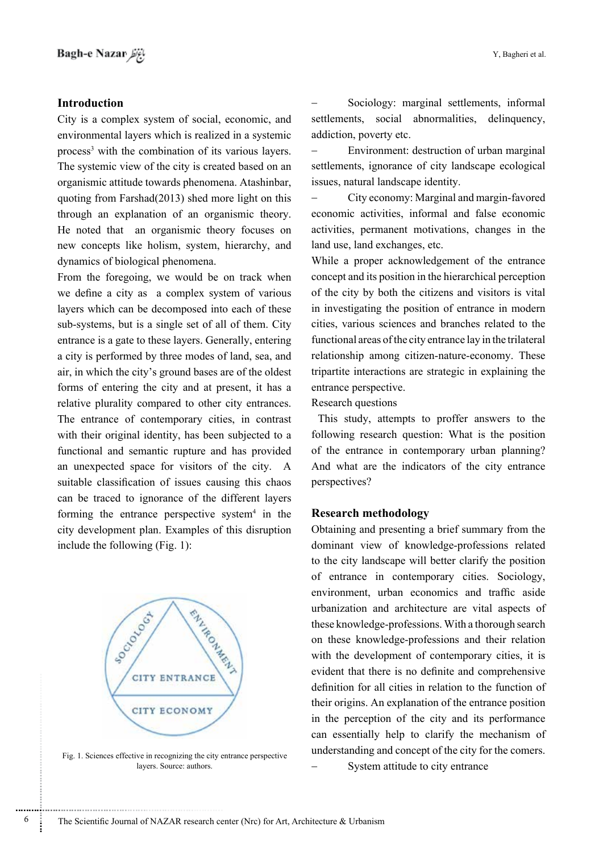## **Introduction**

City is a complex system of social, economic, and environmental layers which is realized in a systemic process<sup>3</sup> with the combination of its various layers. The systemic view of the city is created based on an organismic attitude towards phenomena. Atashinbar, quoting from Farshad $(2013)$  shed more light on this through an explanation of an organismic theory. He noted that an organismic theory focuses on new concepts like holism, system, hierarchy, and dynamics of biological phenomena.

From the foregoing, we would be on track when we define a city as a complex system of various layers which can be decomposed into each of these sub-systems, but is a single set of all of them. City entrance is a gate to these lavers. Generally, entering a city is performed by three modes of land, sea, and air, in which the city's ground bases are of the oldest forms of entering the city and at present, it has a relative plurality compared to other city entrances. The entrance of contemporary cities, in contrast with their original identity, has been subjected to a functional and semantic rupture and has provided an unexpected space for visitors of the city. A suitable classification of issues causing this chaos can be traced to ignorance of the different layers forming the entrance perspective system<sup>4</sup> in the city development plan. Examples of this disruption include the following  $(Fig. 1)$ :



Fig. 1. Sciences effective in recognizing the city entrance perspective layers. Source: authors.

Sociology: marginal settlements, informal settlements, social abnormalities, delinquency, addiction, poverty etc.

- Environment: destruction of urban marginal settlements, ignorance of city landscape ecological issues, natural landscape identity.

City economy: Marginal and margin-favored economic activities, informal and false economic activities, permanent motivations, changes in the land use, land exchanges, etc.

While a proper acknowledgement of the entrance concept and its position in the hierarchical perception of the city by both the citizens and visitors is vital in investigating the position of entrance in modern cities, various sciences and branches related to the functional areas of the city entrance lay in the trilateral relationship among citizen-nature-economy. These tripartite interactions are strategic in explaining the entrance perspective.

Research questions

This study, attempts to proffer answers to the following research question: What is the position of the entrance in contemporary urban planning? And what are the indicators of the city entrance perspectives?

## **methodology Research**

Obtaining and presenting a brief summary from the dominant view of knowledge-professions related to the city landscape will better clarify the position of entrance in contemporary cities. Sociology, environment, urban economics and traffic aside urbanization and architecture are vital aspects of these knowledge-professions. With a thorough search on these knowledge-professions and their relation with the development of contemporary cities, it is evident that there is no definite and comprehensive definition for all cities in relation to the function of their origins. An explanation of the entrance position in the perception of the city and its performance can essentially help to clarify the mechanism of understanding and concept of the city for the comers. System attitude to city entrance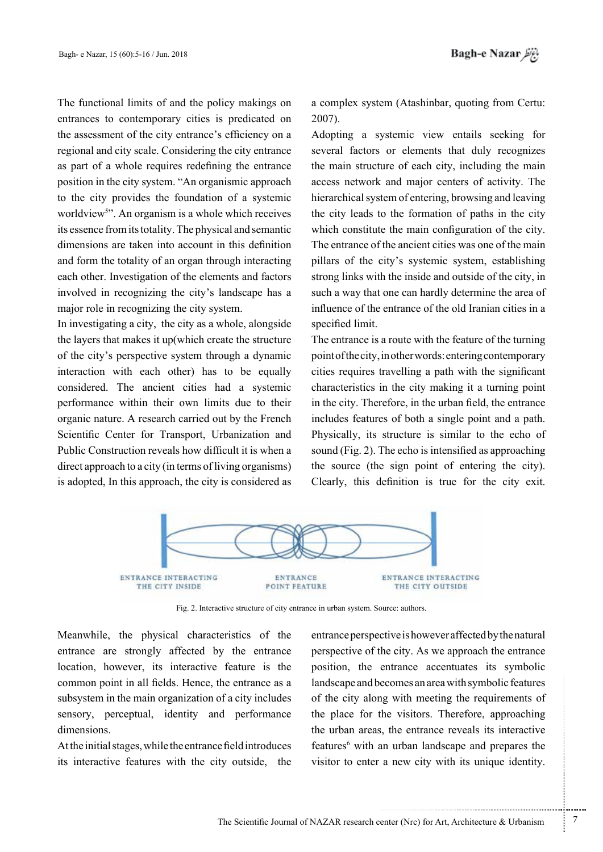The functional limits of and the policy makings on entrances to contemporary cities is predicated on the assessment of the city entrance's efficiency on a regional and city scale. Considering the city entrance as part of a whole requires redefining the entrance position in the city system. "An organismic approach to the city provides the foundation of a systemic worldview<sup>5</sup>". An organism is a whole which receives its essence from its totality. The physical and semantic dimensions are taken into account in this definition and form the totality of an organ through interacting each other. Investigation of the elements and factors involved in recognizing the city's landscape has a major role in recognizing the city system.

In investigating a city, the city as a whole, alongside the layers that makes it up which create the structure of the city's perspective system through a dynamic interaction with each other has to be equally considered. The ancient cities had a systemic performance within their own limits due to their organic nature. A research carried out by the French Scientific Center for Transport, Urbanization and Public Construction reveals how difficult it is when a direct approach to a city (in terms of living organisms) is adopted. In this approach, the city is considered as a complex system (Atashinbar, quoting from Certu: 2007).

Adopting a systemic view entails seeking for several factors or elements that duly recognizes the main structure of each city, including the main access network and major centers of activity. The hierarchical system of entering, browsing and leaving the city leads to the formation of paths in the city which constitute the main configuration of the city. The entrance of the ancient cities was one of the main pillars of the city's systemic system, establishing strong links with the inside and outside of the city, in such a way that one can hardly determine the area of influence of the entrance of the old Iranian cities in a specified limit.

The entrance is a route with the feature of the turning point of the city, in other words: entering contemporary cities requires travelling a path with the significant characteristics in the city making it a turning point in the city. Therefore, in the urban field, the entrance includes features of both a single point and a path. Physically, its structure is similar to the echo of sound (Fig. 2). The echo is intensified as approaching the source (the sign point of entering the city). Clearly, this definition is true for the city exit.



Fig. 2. Interactive structure of city entrance in urban system. Source: authors.

Meanwhile, the physical characteristics of the entrance are strongly affected by the entrance the location, however, its interactive feature is the common point in all fields. Hence, the entrance as a subsystem in the main organization of a city includes sensory, perceptual, identity and performance dimensions.

At the initial stages, while the entrance field introduces its interactive features with the city outside. the entrance perspective is however affected by the natural perspective of the city. As we approach the entrance position, the entrance accentuates its symbolic landscape and becomes an area with symbolic features of the city along with meeting the requirements of the place for the visitors. Therefore, approaching the urban areas, the entrance reveals its interactive features<sup>6</sup> with an urban landscape and prepares the visitor to enter a new city with its unique identity.

.......... ....... ........ ........... ...... ....... ........ .......... ...........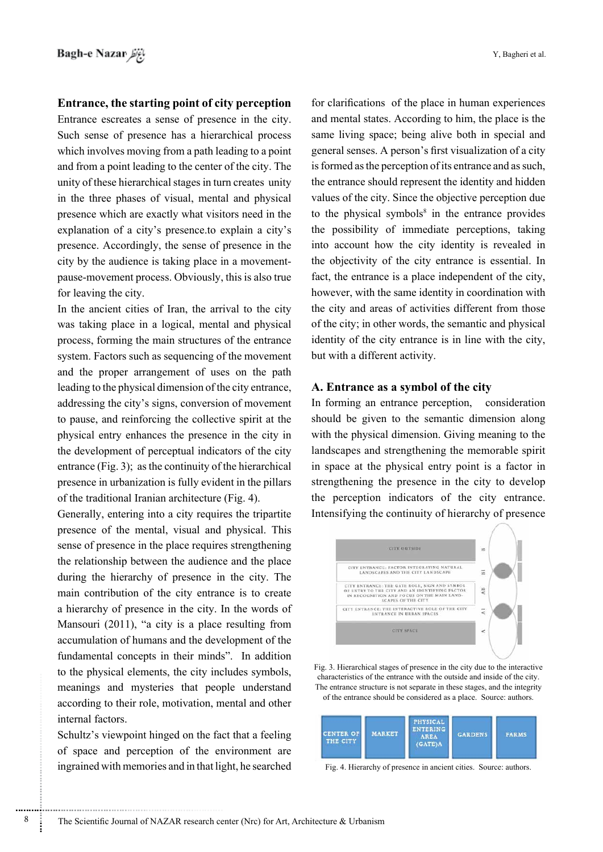## **Entrance, the starting point of city perception**

Entrance escreates a sense of presence in the city. Such sense of presence has a hierarchical process which involves moving from a path leading to a point and from a point leading to the center of the city. The unity of these hierarchical stages in turn creates unity in the three phases of visual, mental and physical presence which are exactly what visitors need in the explanation of a city's presence to explain a city's presence. Accordingly, the sense of presence in the pause-movement process. Obviously, this is also true city by the audience is taking place in a movementfor leaving the city.

In the ancient cities of Iran, the arrival to the city was taking place in a logical, mental and physical process, forming the main structures of the entrance system. Factors such as sequencing of the movement and the proper arrangement of uses on the path leading to the physical dimension of the city entrance. addressing the city's signs, conversion of movement to pause, and reinforcing the collective spirit at the physical entry enhances the presence in the city in the development of perceptual indicators of the city entrance (Fig. 3); as the continuity of the hierarchical presence in urbanization is fully evident in the pillars of the traditional Iranian architecture  $(Fig. 4)$ .

Generally, entering into a city requires the tripartite presence of the mental, visual and physical. This sense of presence in the place requires strengthening the relationship between the audience and the place during the hierarchy of presence in the city. The main contribution of the city entrance is to create a hierarchy of presence in the city. In the words of Mansouri (2011), "a city is a place resulting from accumulation of humans and the development of the fundamental concepts in their minds". In addition to the physical elements, the city includes symbols, meanings and mysteries that people understand according to their role, motivation, mental and other internal factors.

Schultz's viewpoint hinged on the fact that a feeling of space and perception of the environment are ingrained with memories and in that light, he searched

for clarifications of the place in human experiences and mental states. According to him, the place is the same living space; being alive both in special and general senses. A person's first visualization of a city is formed as the perception of its entrance and as such, the entrance should represent the identity and hidden values of the city. Since the objective perception due to the physical symbols $s$  in the entrance provides the possibility of immediate perceptions, taking into account how the city identity is revealed in the objectivity of the city entrance is essential. In fact, the entrance is a place independent of the city, however, with the same identity in coordination with the city and areas of activities different from those of the city; in other words, the semantic and physical identity of the city entrance is in line with the city, but with a different activity.

#### A. Entrance as a symbol of the city

In forming an entrance perception, consideration should be given to the semantic dimension along with the physical dimension. Giving meaning to the landscapes and strengthening the memorable spirit in space at the physical entry point is a factor in strengthening the presence in the city to develop the perception indicators of the city entrance. Intensifying the continuity of hierarchy of presence



Fig. 3. Hierarchical stages of presence in the city due to the interactive characteristics of the entrance with the outside and inside of the city. The entrance structure is not separate in these stages, and the integrity of the entrance should be considered as a place. Source: authors.



Fig. 4. Hierarchy of presence in ancient cities. Source: authors.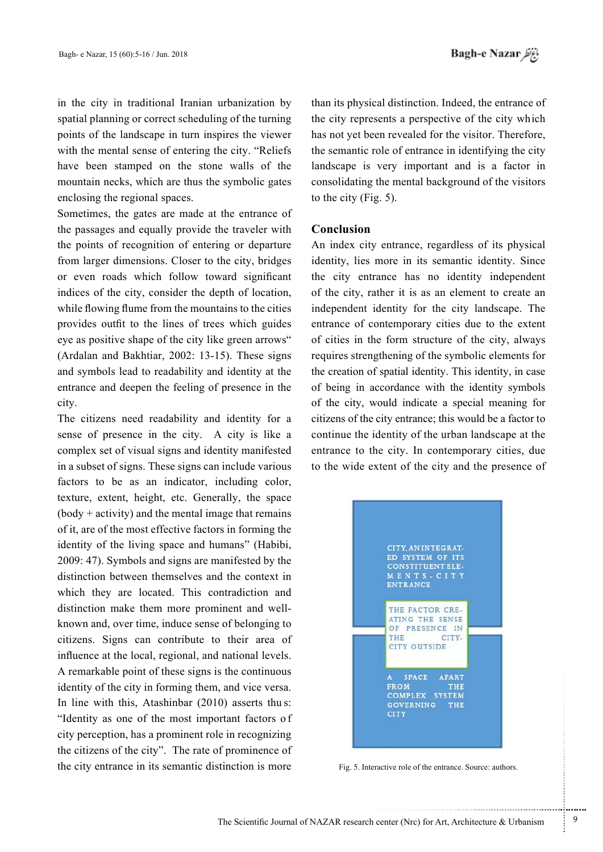in the city in traditional Iranian urbanization by spatial planning or correct scheduling of the turning points of the landscape in turn inspires the viewer with the mental sense of entering the city. "Reliefs" have been stamped on the stone walls of the mountain necks, which are thus the symbolic gates enclosing the regional spaces.

Sometimes, the gates are made at the entrance of the passages and equally provide the traveler with the points of recognition of entering or departure from larger dimensions. Closer to the city, bridges or even roads which follow toward significant indices of the city, consider the depth of location, while flowing flume from the mountains to the cities provides outfit to the lines of trees which guides eye as positive shape of the city like green arrows" (Ardalan and Bakhtiar,  $2002$ : 13-15). These signs and symbols lead to readability and identity at the entrance and deepen the feeling of presence in the .city

The citizens need readability and identity for a sense of presence in the city. A city is like a complex set of visual signs and identity manifested in a subset of signs. These signs can include various factors to be as an indicator, including color, texture, extent, height, etc. Generally, the space  $(body + activity)$  and the mental image that remains of it, are of the most effective factors in forming the identity of the living space and humans" (Habibi,  $2009: 47$ ). Symbols and signs are manifested by the distinction between themselves and the context in which they are located. This contradiction and known and, over time, induce sense of belonging to distinction make them more prominent and wellcitizens. Signs can contribute to their area of influence at the local, regional, and national levels. A remarkable point of these signs is the continuous identity of the city in forming them, and vice versa. In line with this, Atashinbar  $(2010)$  asserts thus: "Identity as one of the most important factors of city perception, has a prominent role in recognizing the citizens of the city". The rate of prominence of the city entrance in its semantic distinction is more

than its physical distinction. Indeed, the entrance of the city represents a perspective of the city which has not yet been revealed for the visitor. Therefore, the semantic role of entrance in identifying the city landscape is very important and is a factor in consolidating the mental background of the visitors to the city (Fig.  $5$ ).

## **Conclusion**

An index city entrance, regardless of its physical identity, lies more in its semantic identity. Since the city entrance has no identity independent of the city, rather it is as an element to create an independent identity for the city landscape. The entrance of contemporary cities due to the extent of cities in the form structure of the city, always requires strengthening of the symbolic elements for the creation of spatial identity. This identity, in case of being in accordance with the identity symbols of the city, would indicate a special meaning for citizens of the city entrance; this would be a factor to continue the identity of the urban landscape at the entrance to the city. In contemporary cities, due to the wide extent of the city and the presence of



Fig. 5. Interactive role of the entrance. Source: authors.

.......... ....... ........ ........... ...... ....... ........ .......... ...........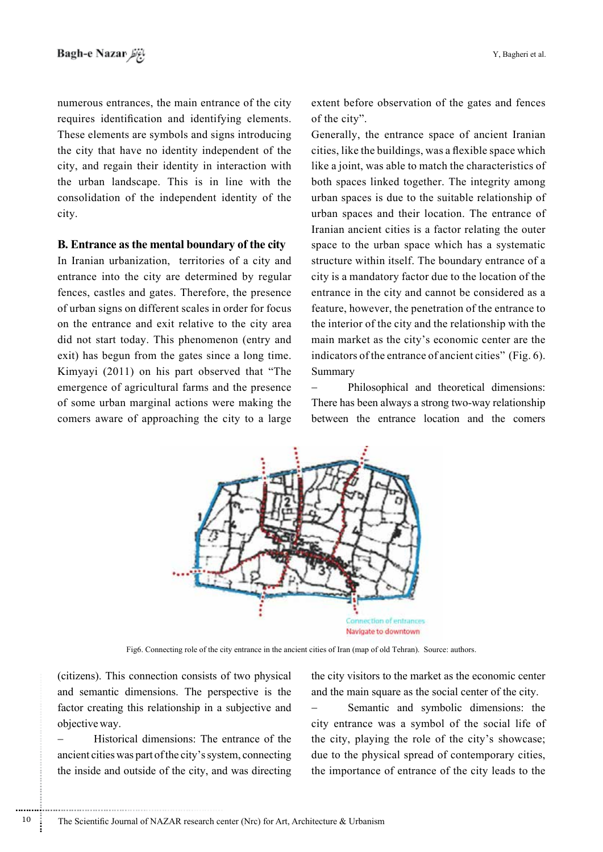numerous entrances, the main entrance of the city requires identification and identifying elements. These elements are symbols and signs introducing the city that have no identity independent of the city, and regain their identity in interaction with the urban landscape. This is in line with the consolidation of the independent identity of the .city

#### **B.** Entrance as the mental boundary of the city

In Iranian urbanization, territories of a city and entrance into the city are determined by regular fences, castles and gates. Therefore, the presence of urban signs on different scales in order for focus on the entrance and exit relative to the city area did not start today. This phenomenon (entry and exit) has begun from the gates since a long time. Kimyayi  $(2011)$  on his part observed that "The emergence of agricultural farms and the presence of some urban marginal actions were making the comers aware of approaching the city to a large

extent before observation of the gates and fences of the city".

Generally, the entrance space of ancient Iranian cities, like the buildings, was a flexible space which like a joint, was able to match the characteristics of both spaces linked together. The integrity among urban spaces is due to the suitable relationship of urban spaces and their location. The entrance of Iranian ancient cities is a factor relating the outer space to the urban space which has a systematic structure within itself. The boundary entrance of a city is a mandatory factor due to the location of the entrance in the city and cannot be considered as a feature, however, the penetration of the entrance to the interior of the city and the relationship with the main market as the city's economic center are the indicators of the entrance of ancient cities" (Fig.  $6$ ). Summary

Philosophical and theoretical dimensions: There has been always a strong two-way relationship between the entrance location and the comers



Fig6. Connecting role of the city entrance in the ancient cities of Iran (map of old Tehran). Source: authors.

(citizens). This connection consists of two physical and semantic dimensions. The perspective is the factor creating this relationship in a subjective and objective way.

Historical dimensions: The entrance of the ancient cities was part of the city's system, connecting the inside and outside of the city, and was directing the city visitors to the market as the economic center and the main square as the social center of the city.

- Semantic and symbolic dimensions: the city entrance was a symbol of the social life of the city, playing the role of the city's showcase; due to the physical spread of contemporary cities, the importance of entrance of the city leads to the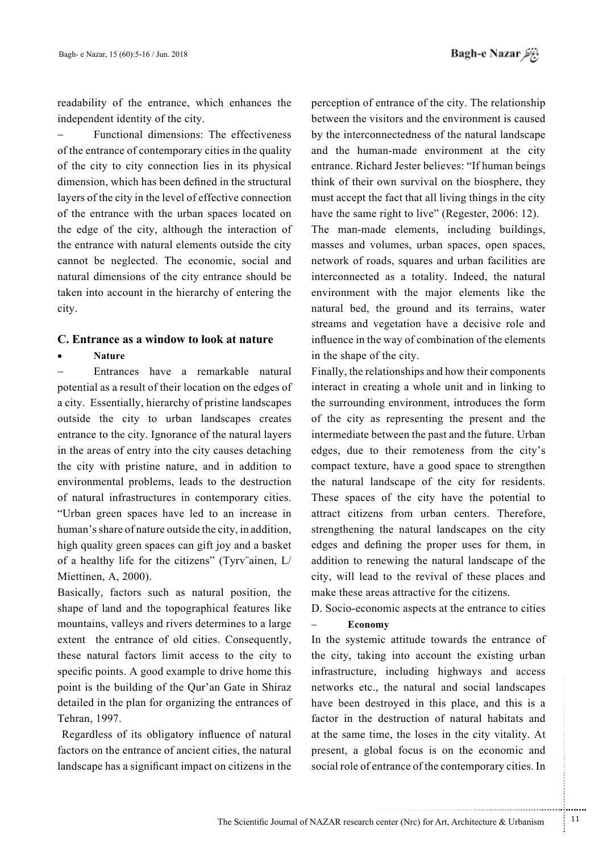readability of the entrance, which enhances the independent identity of the city.

Functional dimensions: The effectiveness of the entrance of contemporary cities in the quality of the city to city connection lies in its physical dimension, which has been defined in the structural layers of the city in the level of effective connection of the entrance with the urban spaces located on the edge of the city, although the interaction of the entrance with natural elements outside the city cannot be neglected. The economic, social and natural dimensions of the city entrance should be taken into account in the hierarchy of entering the .city

#### **C.** Entrance as a window to look at nature

#### **Nature**•

− Entrances have a remarkable natural potential as a result of their location on the edges of a city. Essentially, hierarchy of pristine landscapes outside the city to urban landscapes creates entrance to the city. Ignorance of the natural layers in the areas of entry into the city causes detaching the city with pristine nature, and in addition to environmental problems, leads to the destruction of natural infrastructures in contemporary cities. "Urban green spaces have led to an increase in human's share of nature outside the city, in addition, high quality green spaces can gift joy and a basket of a healthy life for the citizens" (Tyrv" ainen,  $L/$ Miettinen, A, 2000).

Basically, factors such as natural position, the shape of land and the topographical features like mountains, valleys and rivers determines to a large extent the entrance of old cities. Consequently, these natural factors limit access to the city to specific points. A good example to drive home this point is the building of the Qur'an Gate in Shiraz detailed in the plan for organizing the entrances of Tehran, 1997.

Regardless of its obligatory influence of natural factors on the entrance of ancient cities, the natural landscape has a significant impact on citizens in the

perception of entrance of the city. The relationship between the visitors and the environment is caused by the interconnectedness of the natural landscape and the human-made environment at the city entrance. Richard Jester believes: "If human beings think of their own survival on the biosphere, they must accept the fact that all living things in the city have the same right to live" (Regester,  $2006: 12$ ). The man-made elements, including buildings, masses and volumes, urban spaces, open spaces, network of roads, squares and urban facilities are interconnected as a totality. Indeed, the natural environment with the major elements like the natural bed, the ground and its terrains, water streams and vegetation have a decisive role and influence in the way of combination of the elements in the shape of the city.

Finally, the relationships and how their components interact in creating a whole unit and in linking to the surrounding environment, introduces the form of the city as representing the present and the intermediate between the past and the future. Urban edges, due to their remoteness from the city's compact texture, have a good space to strengthen the natural landscape of the city for residents. These spaces of the city have the potential to attract citizens from urban centers. Therefore, strengthening the natural landscapes on the city edges and defining the proper uses for them, in addition to renewing the natural landscape of the city, will lead to the revival of these places and make these areas attractive for the citizens.

D. Socio-economic aspects at the entrance to cities

## **Economy**

In the systemic attitude towards the entrance of the city, taking into account the existing urban infrastructure, including highways and access networks etc., the natural and social landscapes have been destroyed in this place, and this is a factor in the destruction of natural habitats and at the same time, the loses in the city vitality. At present, a global focus is on the economic and social role of entrance of the contemporary cities. In

.......... ....... ........ ........... ...... ....... ........ .......... ...........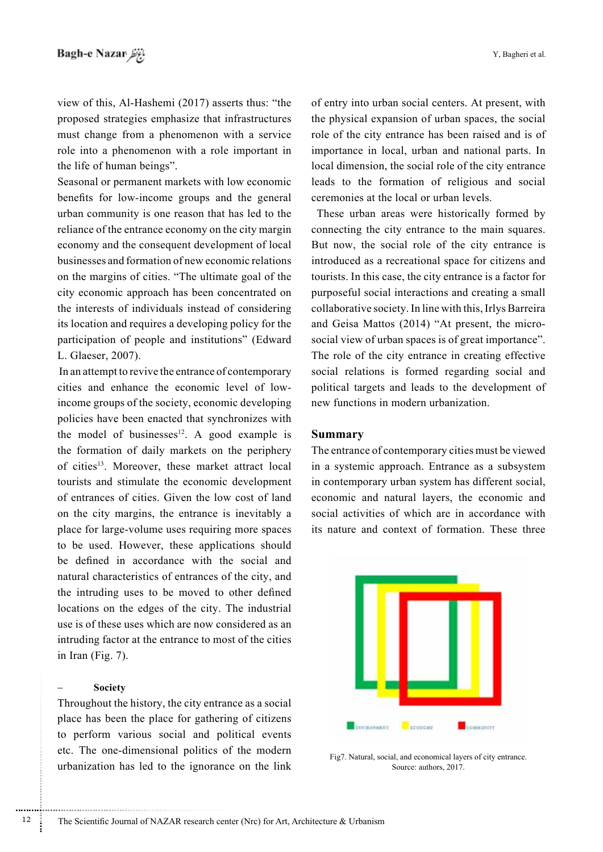view of this, Al-Hashemi (2017) asserts thus: "the proposed strategies emphasize that infrastructures must change from a phenomenon with a service role into a phenomenon with a role important in the life of human beings".

Seasonal or permanent markets with low economic benefits for low-income groups and the general urban community is one reason that has led to the reliance of the entrance economy on the city margin economy and the consequent development of local businesses and formation of new economic relations on the margins of cities. "The ultimate goal of the city economic approach has been concentrated on the interests of individuals instead of considering its location and requires a developing policy for the participation of people and institutions" (Edward L. Glaeser, 2007).

In an attempt to revive the entrance of contemporary income groups of the society, economic developing cities and enhance the economic level of lowpolicies have been enacted that synchronizes with the model of businesses $^{12}$ . A good example is the formation of daily markets on the periphery of cities<sup>13</sup>. Moreover, these market attract local tourists and stimulate the economic development of entrances of cities. Given the low cost of land on the city margins, the entrance is inevitably a place for large-volume uses requiring more spaces to be used. However, these applications should be defined in accordance with the social and natural characteristics of entrances of the city, and the intruding uses to be moved to other defined locations on the edges of the city. The industrial use is of these uses which are now considered as an intruding factor at the entrance to most of the cities in Iran (Fig.  $7$ ).

#### **Society**

............................................................

Throughout the history, the city entrance as a social place has been the place for gathering of citizens to perform various social and political events etc. The one-dimensional politics of the modern urbanization has led to the ignorance on the link

of entry into urban social centers. At present, with the physical expansion of urban spaces, the social role of the city entrance has been raised and is of importance in local, urban and national parts. In local dimension, the social role of the city entrance leads to the formation of religious and social ceremonies at the local or urban levels.

These urban areas were historically formed by connecting the city entrance to the main squares. But now, the social role of the city entrance is introduced as a recreational space for citizens and tourists. In this case, the city entrance is a factor for purposeful social interactions and creating a small collaborative society. In line with this, Irlys Barreira social view of urban spaces is of great importance". and Geisa Mattos (2014) "At present, the micro-The role of the city entrance in creating effective social relations is formed regarding social and political targets and leads to the development of new functions in modern urbanization.

#### **Summary**

The entrance of contemporary cities must be viewed in a systemic approach. Entrance as a subsystem in contemporary urban system has different social, economic and natural layers, the economic and social activities of which are in accordance with its nature and context of formation. These three



Fig7. Natural, social, and economical layers of city entrance. Source: authors, 2017.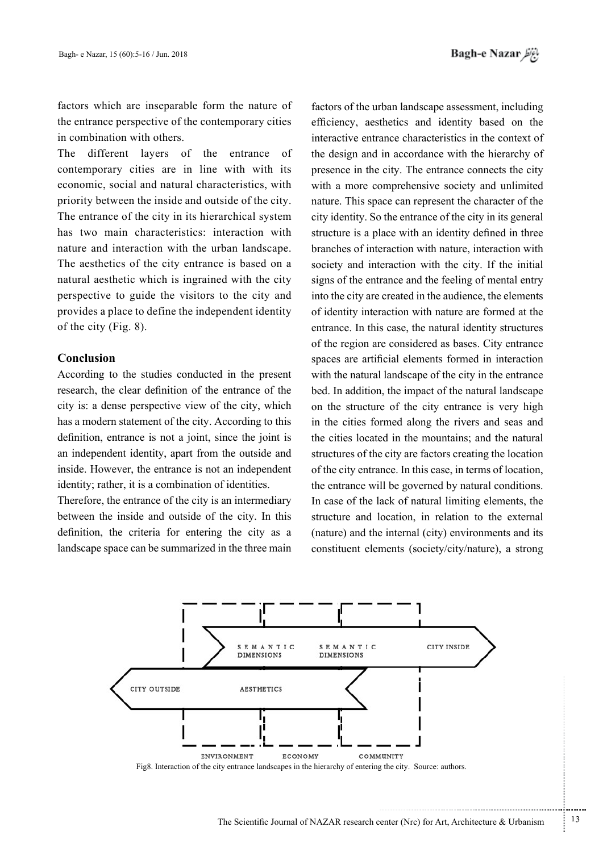factors which are inseparable form the nature of the entrance perspective of the contemporary cities in combination with others.

The different layers of the entrance of contemporary cities are in line with with its economic, social and natural characteristics, with priority between the inside and outside of the city. The entrance of the city in its hierarchical system has two main characteristics: interaction with nature and interaction with the urban landscape. The aesthetics of the city entrance is based on a natural aesthetic which is ingrained with the city perspective to guide the visitors to the city and provides a place to define the independent identity of the city (Fig.  $8$ ).

#### **Conclusion**

According to the studies conducted in the present research, the clear definition of the entrance of the city is: a dense perspective view of the city, which has a modern statement of the city. According to this definition, entrance is not a joint, since the joint is an independent identity, apart from the outside and inside. However, the entrance is not an independent identity; rather, it is a combination of identities.

Therefore, the entrance of the city is an intermediary between the inside and outside of the city. In this definition, the criteria for entering the city as a landscape space can be summarized in the three main

factors of the urban landscape assessment, including efficiency, aesthetics and identity based on the interactive entrance characteristics in the context of the design and in accordance with the hierarchy of presence in the city. The entrance connects the city with a more comprehensive society and unlimited nature. This space can represent the character of the city identity. So the entrance of the city in its general structure is a place with an identity defined in three branches of interaction with nature, interaction with society and interaction with the city. If the initial signs of the entrance and the feeling of mental entry into the city are created in the audience, the elements of identity interaction with nature are formed at the entrance. In this case, the natural identity structures of the region are considered as bases. City entrance spaces are artificial elements formed in interaction with the natural landscape of the city in the entrance bed. In addition, the impact of the natural landscape on the structure of the city entrance is very high in the cities formed along the rivers and seas and the cities located in the mountains; and the natural structures of the city are factors creating the location of the city entrance. In this case, in terms of location, the entrance will be governed by natural conditions. In case of the lack of natural limiting elements, the structure and location, in relation to the external  $(nature)$  and the internal  $(city)$  environments and its constituent elements (society/city/nature), a strong



...........................................................

.......... ....... ........ ........... ...... ....... ........ .......... ...........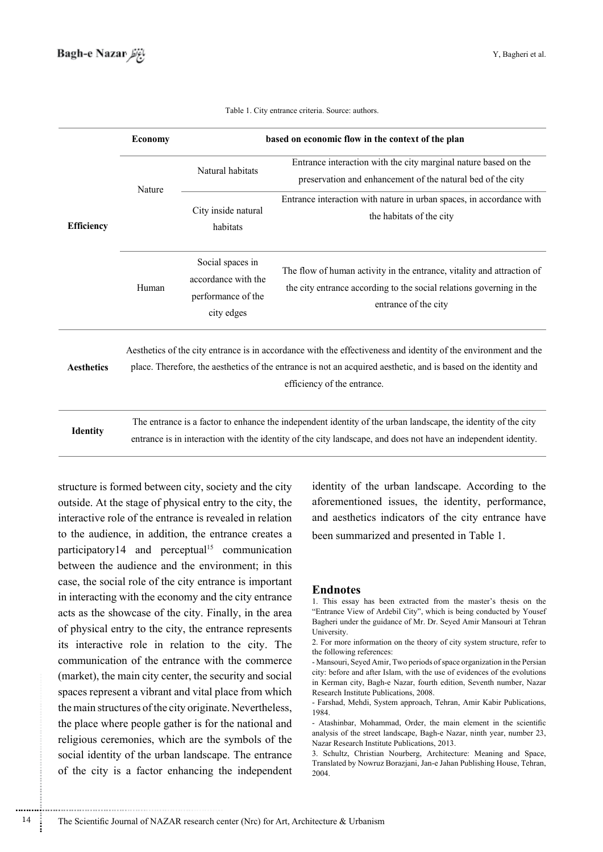|                   | <b>Economy</b>                                                                                                                                                                                                                                                    | based on economic flow in the context of the plan                           |                                                                                                                                                                        |  |  |  |  |
|-------------------|-------------------------------------------------------------------------------------------------------------------------------------------------------------------------------------------------------------------------------------------------------------------|-----------------------------------------------------------------------------|------------------------------------------------------------------------------------------------------------------------------------------------------------------------|--|--|--|--|
| <b>Efficiency</b> | Nature                                                                                                                                                                                                                                                            | Natural habitats                                                            | Entrance interaction with the city marginal nature based on the<br>preservation and enhancement of the natural bed of the city                                         |  |  |  |  |
|                   |                                                                                                                                                                                                                                                                   | City inside natural<br>habitats                                             | Entrance interaction with nature in urban spaces, in accordance with<br>the habitats of the city                                                                       |  |  |  |  |
|                   | Human                                                                                                                                                                                                                                                             | Social spaces in<br>accordance with the<br>performance of the<br>city edges | The flow of human activity in the entrance, vitality and attraction of<br>the city entrance according to the social relations governing in the<br>entrance of the city |  |  |  |  |
| <b>Aesthetics</b> | Aesthetics of the city entrance is in accordance with the effectiveness and identity of the environment and the<br>place. Therefore, the aesthetics of the entrance is not an acquired aesthetic, and is based on the identity and<br>efficiency of the entrance. |                                                                             |                                                                                                                                                                        |  |  |  |  |
| <b>Identity</b>   | The entrance is a factor to enhance the independent identity of the urban landscape, the identity of the city                                                                                                                                                     |                                                                             |                                                                                                                                                                        |  |  |  |  |

Table 1. City entrance criteria. Source: authors.

.identity independent an have not does and ,landscape city the of identity the with interaction in is entrance

structure is formed between city, society and the city outside. At the stage of physical entry to the city, the interactive role of the entrance is revealed in relation to the audience, in addition, the entrance creates a participatory14 and perceptual<sup>15</sup> communication between the audience and the environment; in this case, the social role of the city entrance is important in interacting with the economy and the city entrance acts as the showcase of the city. Finally, in the area of physical entry to the city, the entrance represents its interactive role in relation to the city. The communication of the entrance with the commerce (market), the main city center, the security and social spaces represent a vibrant and vital place from which the main structures of the city originate. Nevertheless, the place where people gather is for the national and religious ceremonies, which are the symbols of the social identity of the urban landscape. The entrance of the city is a factor enhancing the independent

............................................................

identity of the urban landscape. According to the aforementioned issues, the identity, performance, and aesthetics indicators of the city entrance have been summarized and presented in Table 1.

#### **Endnotes**

<sup>1.</sup> This essay has been extracted from the master's thesis on the "Entrance View of Ardebil City", which is being conducted by Yousef Bagheri under the guidance of Mr. Dr. Seyed Amir Mansouri at Tehran .University

<sup>2.</sup> For more information on the theory of city system structure, refer to the following references:

<sup>-</sup> Mansouri, Seved Amir, Two periods of space organization in the Persian city: before and after Islam, with the use of evidences of the evolutions in Kerman city, Bagh-e Nazar, fourth edition, Seventh number, Nazar Research Institute Publications, 2008.

<sup>-</sup> Farshad, Mehdi, System approach, Tehran, Amir Kabir Publications, 1984.

<sup>-</sup> Atashinbar, Mohammad, Order, the main element in the scientific analysis of the street landscape, Bagh-e Nazar, ninth year, number 23, Nazar Research Institute Publications, 2013.

<sup>3.</sup> Schultz, Christian Nourberg, Architecture: Meaning and Space, Translated by Nowruz Borazjani, Jan-e Jahan Publishing House, Tehran, 2004.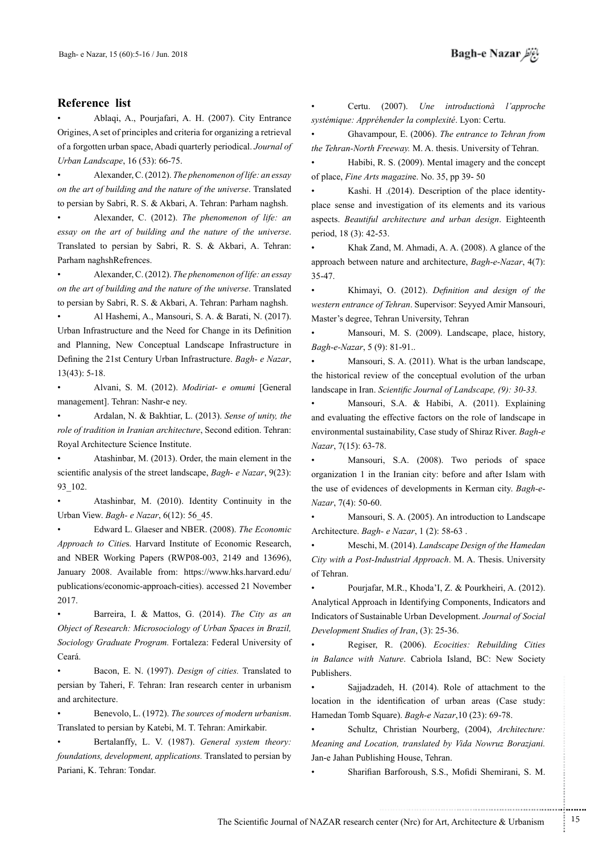Ablagi, A., Pourjafari, A. H. (2007). City Entrance Origines, A set of principles and criteria for organizing a retrieval of a forgotten urban space, Abadi quarterly periodical. Journal of Urban Landscape, 16 (53): 66-75.

Alexander, C. (2012). The phenomenon of life: an essay on the art of building and the nature of the universe. Translated to persian by Sabri, R. S. & Akbari, A. Tehran: Parham naghsh.

**•** Alexander, C. (2012). The phenomenon of life: an essay on the art of building and the nature of the universe. Translated to persian by Sabri, R. S. & Akbari, A. Tehran: Parham naghshRefrences.

Alexander, C. (2012). *The phenomenon of life: an essay* on the art of building and the nature of the universe. Translated to persian by Sabri, R. S. & Akbari, A. Tehran: Parham naghsh.

Al Hashemi, A., Mansouri, S. A. & Barati, N. (2017). Urban Infrastructure and the Need for Change in its Definition and Planning, New Conceptual Landscape Infrastructure in Defining the 21st Century Urban Infrastructure. Bagh- e Nazar,  $13(43): 5-18.$ 

Alvani, S. M. (2012). Modiriat- e omumi [General management]. Tehran: Nashr-e ney.

Ardalan, N. & Bakhtiar, L. (2013). Sense of unity, the role of tradition in Iranian architecture, Second edition. Tehran: Royal Architecture Science Institute.

Atashinbar, M. (2013). Order, the main element in the scientific analysis of the street landscape, *Bagh- e Nazar*, 9(23): 93 102.

Atashinbar, M. (2010). Identity Continuity in the Urban View. Bagh- e Nazar, 6(12): 56 45.

**•** Edward L. Glaeser and NBER. (2008). The Economic Approach to Cities. Harvard Institute of Economic Research, and NBER Working Papers (RWP08-003, 2149 and 13696), January 2008. Available from: https://www.hks.harvard.edu/ publications/economic-approach-cities). accessed 21 November 2017.

Barreira, I. & Mattos, G. (2014). The City as an *Object of Research: Microsociology of Urban Spaces in Brazil,* Sociology Graduate Program. Fortaleza: Federal University of .Ceará

Bacon, E. N. (1997). *Design of cities*. Translated to persian by Taheri, F. Tehran: Iran research center in urbanism and architecture.

Benevolo, L. (1972). The sources of modern urbanism. Translated to persian by Katebi, M. T. Tehran: Amirkabir.

Bertalanffy, L. V. (1987). General system theory: foundations, development, applications. Translated to persian by Pariani, K. Tehran: Tondar.

Certu. (2007). Une introductionà l'approche systémique: Appréhender la complexité. Lyon: Certu.

Ghavampour, E. (2006). The entrance to Tehran from the Tehran-North Freeway. M. A. thesis. University of Tehran.

Habibi, R. S. (2009). Mental imagery and the concept of place, *Fine Arts magazine*. No. 35, pp 39-50

place sense and investigation of its elements and its various Kashi. H .(2014). Description of the place identityaspects. *Beautiful architecture and urban design*. Eighteenth period, 18 (3): 42-53.

Khak Zand, M. Ahmadi, A. A. (2008). A glance of the approach between nature and architecture, *Bagh-e-Nazar*, 4(7): 35-47.

**•** Khimayi, O. (2012). Definition and design of the western entrance of Tehran. Supervisor: Seyyed Amir Mansouri, Master's degree, Tehran University, Tehran

Mansouri, M. S. (2009). Landscape, place, history, Bagh-e-Nazar, 5 (9): 81-91..

Mansouri, S. A. (2011). What is the urban landscape, the historical review of the conceptual evolution of the urban landscape in Iran. *Scientific Journal of Landscape*, (9): 30-33.

Mansouri, S.A. & Habibi, A. (2011). Explaining and evaluating the effective factors on the role of landscape in environmental sustainability, Case study of Shiraz River. Bagh-e *Nazar*, 7(15): 63-78.

• Mansouri, S.A. (2008). Two periods of space organization 1 in the Iranian city: before and after Islam with the use of evidences of developments in Kerman city. *Bagh-e-Nazar*, 7(4): 50-60.

Mansouri, S. A. (2005). An introduction to Landscape Architecture. *Bagh- e Nazar*, 1 (2): 58-63.

*Meschi, M. (2014). Landscape Design of the Hamedan* City with a Post-Industrial Approach. M. A. Thesis. University of Tehran.

• Pourjafar, M.R., Khoda'I, Z. & Pourkheiri, A. (2012). Analytical Approach in Identifying Components, Indicators and **Indicators of Sustainable Urban Development**. Journal of Social Development Studies of Iran, (3): 25-36.

**•** Regiser, R. (2006). *Ecocities: Rebuilding Cities* in Balance with Nature. Cabriola Island, BC: New Society .Publishers

• Sajjadzadeh, H. (2014). Role of attachment to the location in the identification of urban areas (Case study: Hamedan Tomb Square). Bagh-e Nazar, 10 (23): 69-78.

**·** Schultz, Christian Nourberg, (2004), Architecture: *Meaning and Location, translated by Vida Nowruz Borazjani.* Jan-e Jahan Publishing House, Tehran.

Sharifian Barforoush, S.S., Mofidi Shemirani, S. M.

.......... ....... ........ ........... ...... ....... ........ .......... ...........